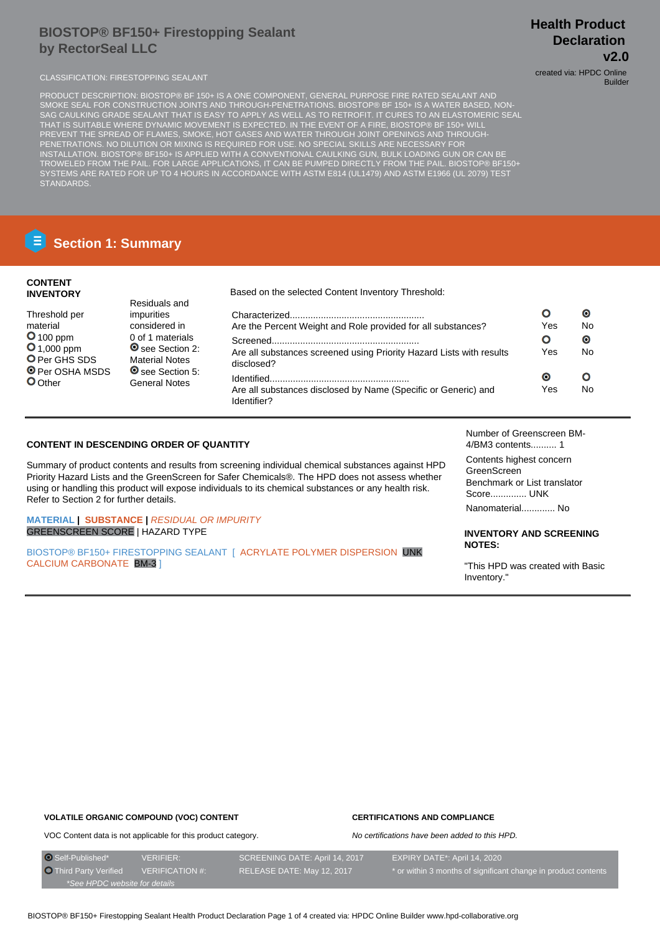## **BIOSTOP® BF150+ Firestopping Sealant by RectorSeal LLC**

CLASSIFICATION: FIRESTOPPING SEALANT CLASSIFICATION: FIRESTOPPING SEALANT

**Health Product Declaration** 

**v2.0**

Builder

PRODUCT DESCRIPTION: BIOSTOP® BF 150+ IS A ONE COMPONENT, GENERAL PURPOSE FIRE RATED SEALANT AND SMOKE SEAL FOR CONSTRUCTION JOINTS AND THROUGH-PENETRATIONS. BIOSTOP® BF 150+ IS A WATER BASED, NON-SAG CAULKING GRADE SEALANT THAT IS EASY TO APPLY AS WELL AS TO RETROFIT. IT CURES TO AN ELASTOMERIC SEAL THAT IS SUITABLE WHERE DYNAMIC MOVEMENT IS EXPECTED. IN THE EVENT OF A FIRE, BIOSTOP® BF 150+ WILL PREVENT THE SPREAD OF FLAMES, SMOKE, HOT GASES AND WATER THROUGH JOINT OPENINGS AND THROUGH-PENETRATIONS. NO DILUTION OR MIXING IS REQUIRED FOR USE. NO SPECIAL SKILLS ARE NECESSARY FOR INSTALLATION. BIOSTOP® BF150+ IS APPLIED WITH A CONVENTIONAL CAULKING GUN, BULK LOADING GUN OR CAN BE TROWELED FROM THE PAIL. FOR LARGE APPLICATIONS, IT CAN BE PUMPED DIRECTLY FROM THE PAIL. BIOSTOP® BF150+ SYSTEMS ARE RATED FOR UP TO 4 HOURS IN ACCORDANCE WITH ASTM E814 (UL1479) AND ASTM E1966 (UL 2079) TEST STANDARDS.

# **Section 1: Summary**

#### **CONTENT INVENTORY**

| <b>INVENTORY</b>                  | Based on the selected Content Inventory Threshold:                                                               |                                                                                    |     |           |  |  |
|-----------------------------------|------------------------------------------------------------------------------------------------------------------|------------------------------------------------------------------------------------|-----|-----------|--|--|
|                                   | Residuals and                                                                                                    |                                                                                    |     |           |  |  |
| Threshold per                     | impurities                                                                                                       |                                                                                    |     | $\bullet$ |  |  |
| material                          | considered in                                                                                                    | Are the Percent Weight and Role provided for all substances?                       | Yes | Nc        |  |  |
| $O$ 100 ppm                       | 0 of 1 materials<br><b>O</b> see Section 2:<br><b>Material Notes</b><br><b>◎</b> see Section 5:<br>General Notes |                                                                                    | O   | $\bullet$ |  |  |
| $O_{1,000}$ ppm<br>O Per GHS SDS  |                                                                                                                  | Are all substances screened using Priority Hazard Lists with results<br>disclosed? | Yes | <b>Nc</b> |  |  |
| <b>O</b> Per OSHA MSDS<br>O Other |                                                                                                                  |                                                                                    | О   | O         |  |  |
|                                   |                                                                                                                  | Are all substances disclosed by Name (Specific or Generic) and<br>Identifier?      | Yes | No        |  |  |

### **CONTENT IN DESCENDING ORDER OF QUANTITY**

Summary of product contents and results from screening individual chemical substances against HPD Priority Hazard Lists and the GreenScreen for Safer Chemicals®. The HPD does not assess whether using or handling this product will expose individuals to its chemical substances or any health risk. Refer to Section 2 for further details.

#### **MATERIAL | SUBSTANCE |** RESIDUAL OR IMPURITY GREENSCREEN SCORE | HAZARD TYPE

BIOSTOP® BF150+ FIRESTOPPING SEALANT [ ACRYLATE POLYMER DISPERSION UNK CALCIUM CARBONATE BM-3 ]

Number of Greenscreen BM-4/BM3 contents.......... 1

Contents highest concern GreenScreen Benchmark or List translator Score.............. UNK Nanomaterial............. No

#### **INVENTORY AND SCREENING NOTES:**

"This HPD was created with Basic Inventory."

```
VOLATILE ORGANIC COMPOUND (VOC) CONTENT
```
#### **CERTIFICATIONS AND COMPLIANCE**

No certifications have been added to this HPD.

VOC Content data is not applicable for this product category.

O Self-Published\* VERIFIER: SCREENING DATE: April 14, 2017 EXPIRY DATE\*: April 14, 2020 Third Party Verified VERIFICATION #: RELEASE DATE: May 12, 2017 \* or within 3 months of significant change in product contents \*See HPDC website for details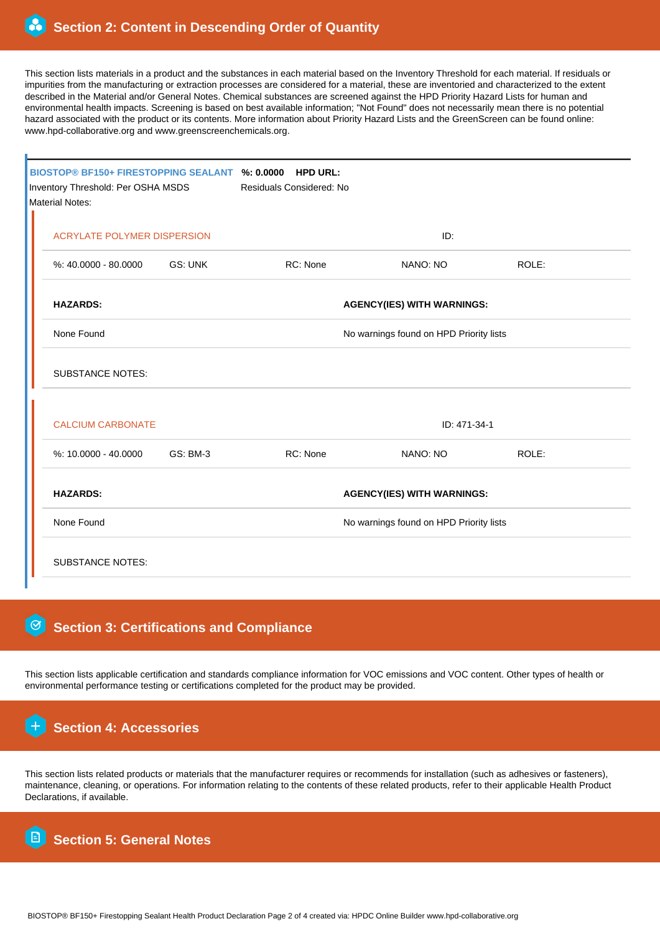This section lists materials in a product and the substances in each material based on the Inventory Threshold for each material. If residuals or impurities from the manufacturing or extraction processes are considered for a material, these are inventoried and characterized to the extent described in the Material and/or General Notes. Chemical substances are screened against the HPD Priority Hazard Lists for human and environmental health impacts. Screening is based on best available information; "Not Found" does not necessarily mean there is no potential hazard associated with the product or its contents. More information about Priority Hazard Lists and the GreenScreen can be found online: www.hpd-collaborative.org and www.greenscreenchemicals.org.

| BIOSTOP® BF150+ FIRESTOPPING SEALANT %: 0.0000 HPD URL:<br>Inventory Threshold: Per OSHA MSDS<br><b>Material Notes:</b> |          | <b>Residuals Considered: No</b>         |                                         |       |  |  |
|-------------------------------------------------------------------------------------------------------------------------|----------|-----------------------------------------|-----------------------------------------|-------|--|--|
| <b>ACRYLATE POLYMER DISPERSION</b>                                                                                      |          | ID:                                     |                                         |       |  |  |
| %: 40.0000 - 80.0000                                                                                                    | GS: UNK  | RC: None                                | NANO: NO                                | ROLE: |  |  |
| <b>HAZARDS:</b>                                                                                                         |          | <b>AGENCY(IES) WITH WARNINGS:</b>       |                                         |       |  |  |
| None Found                                                                                                              |          | No warnings found on HPD Priority lists |                                         |       |  |  |
| <b>SUBSTANCE NOTES:</b>                                                                                                 |          |                                         |                                         |       |  |  |
| <b>CALCIUM CARBONATE</b>                                                                                                |          | ID: 471-34-1                            |                                         |       |  |  |
| $%10.0000 - 40.0000$                                                                                                    | GS: BM-3 | RC: None                                | NANO: NO                                | ROLE: |  |  |
| <b>HAZARDS:</b><br><b>AGENCY(IES) WITH WARNINGS:</b>                                                                    |          |                                         |                                         |       |  |  |
| None Found                                                                                                              |          |                                         | No warnings found on HPD Priority lists |       |  |  |
| <b>SUBSTANCE NOTES:</b>                                                                                                 |          |                                         |                                         |       |  |  |

## **Section 3: Certifications and Compliance**

This section lists applicable certification and standards compliance information for VOC emissions and VOC content. Other types of health or environmental performance testing or certifications completed for the product may be provided.

 **Section 4: Accessories**

This section lists related products or materials that the manufacturer requires or recommends for installation (such as adhesives or fasteners), maintenance, cleaning, or operations. For information relating to the contents of these related products, refer to their applicable Health Product Declarations, if available.

 **Section 5: General Notes**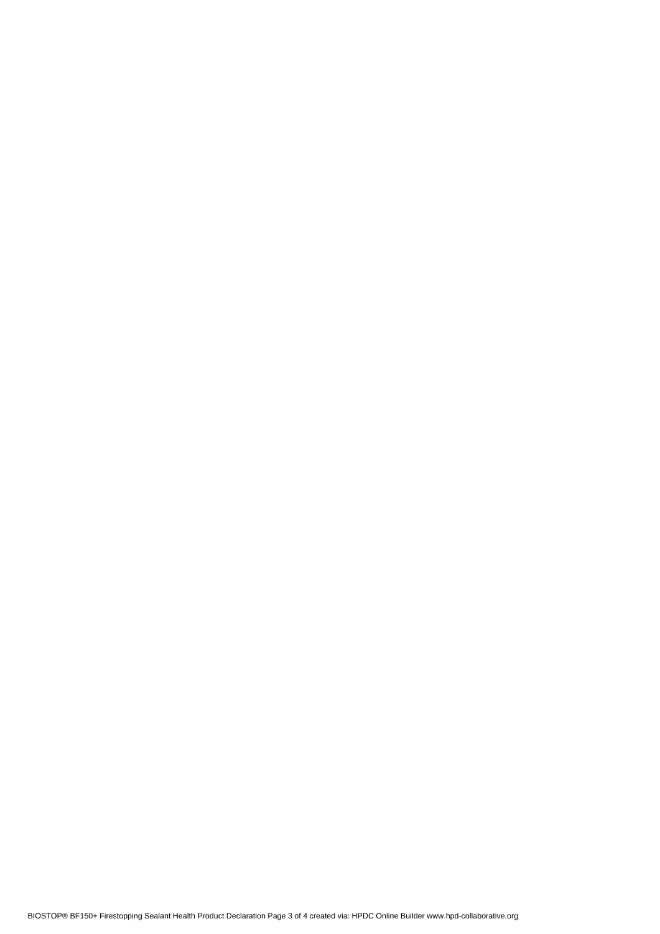BIOSTOP® BF150+ Firestopping Sealant Health Product Declaration Page 3 of 4 created via: HPDC Online Builder www.hpd-collaborative.org